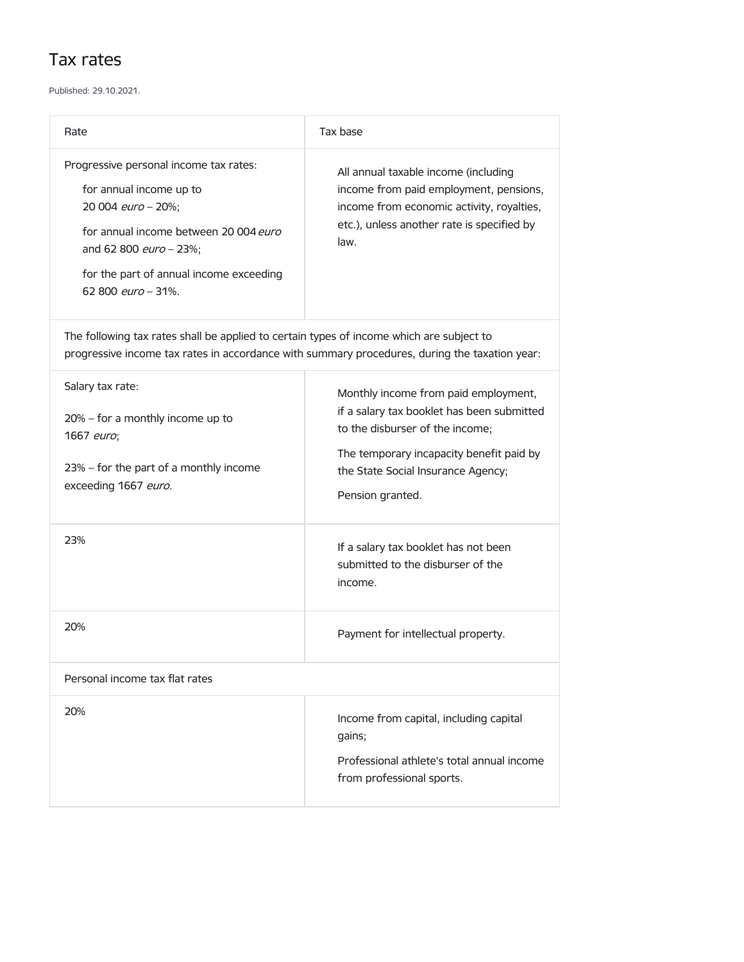## Tax rates

Published: 29.10.2021.

| Rate                                                                                                                                                                                                                        | Tax base                                                                                                                                                                                                                    |
|-----------------------------------------------------------------------------------------------------------------------------------------------------------------------------------------------------------------------------|-----------------------------------------------------------------------------------------------------------------------------------------------------------------------------------------------------------------------------|
| Progressive personal income tax rates:<br>for annual income up to<br>20 004 euro - 20%;<br>for annual income between 20 004 euro<br>and 62 800 euro - 23%;<br>for the part of annual income exceeding<br>62 800 euro - 31%. | All annual taxable income (including<br>income from paid employment, pensions,<br>income from economic activity, royalties,<br>etc.), unless another rate is specified by<br>law.                                           |
| The following tax rates shall be applied to certain types of income which are subject to<br>progressive income tax rates in accordance with summary procedures, during the taxation year:                                   |                                                                                                                                                                                                                             |
| Salary tax rate:<br>$20\%$ – for a monthly income up to<br>1667 euro;<br>23% – for the part of a monthly income<br>exceeding 1667 euro.                                                                                     | Monthly income from paid employment,<br>if a salary tax booklet has been submitted<br>to the disburser of the income;<br>The temporary incapacity benefit paid by<br>the State Social Insurance Agency;<br>Pension granted. |
| 23%                                                                                                                                                                                                                         | If a salary tax booklet has not been<br>submitted to the disburser of the<br>income.                                                                                                                                        |
| 20%                                                                                                                                                                                                                         | Payment for intellectual property.                                                                                                                                                                                          |
| Personal income tax flat rates                                                                                                                                                                                              |                                                                                                                                                                                                                             |
| 20%                                                                                                                                                                                                                         | Income from capital, including capital<br>gains;<br>Professional athlete's total annual income<br>from professional sports.                                                                                                 |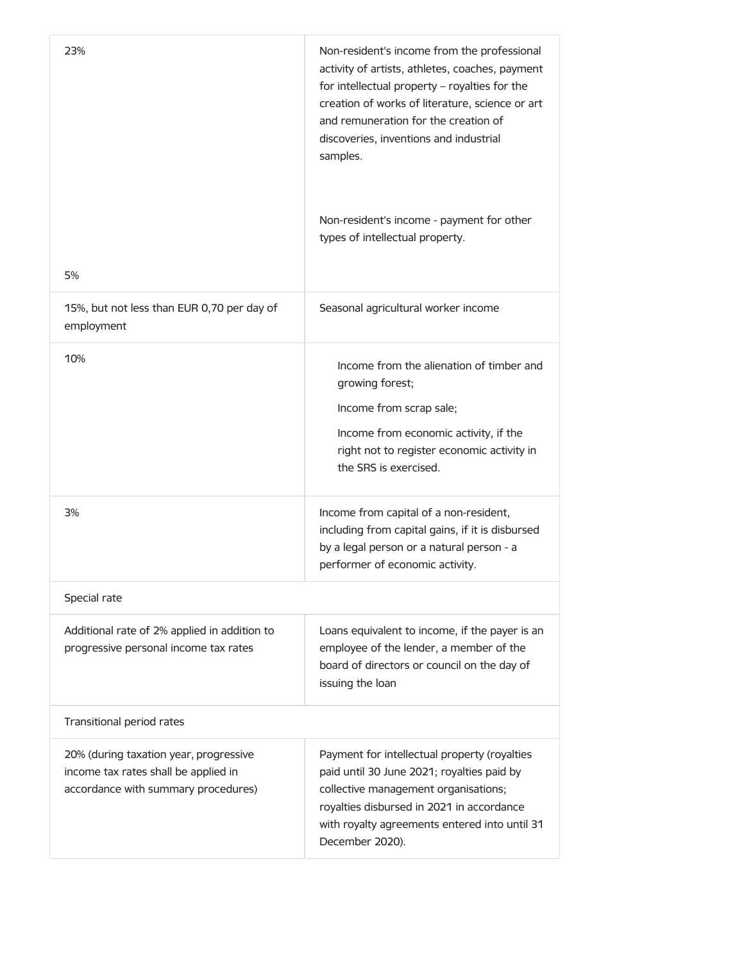| 23%<br>5%                                                                                                             | Non-resident's income from the professional<br>activity of artists, athletes, coaches, payment<br>for intellectual property - royalties for the<br>creation of works of literature, science or art<br>and remuneration for the creation of<br>discoveries, inventions and industrial<br>samples.<br>Non-resident's income - payment for other<br>types of intellectual property. |
|-----------------------------------------------------------------------------------------------------------------------|----------------------------------------------------------------------------------------------------------------------------------------------------------------------------------------------------------------------------------------------------------------------------------------------------------------------------------------------------------------------------------|
| 15%, but not less than EUR 0,70 per day of<br>employment                                                              | Seasonal agricultural worker income                                                                                                                                                                                                                                                                                                                                              |
| 10%                                                                                                                   | Income from the alienation of timber and<br>growing forest;<br>Income from scrap sale;<br>Income from economic activity, if the<br>right not to register economic activity in<br>the SRS is exercised.                                                                                                                                                                           |
| 3%                                                                                                                    | Income from capital of a non-resident,<br>including from capital gains, if it is disbursed<br>by a legal person or a natural person - a<br>performer of economic activity.                                                                                                                                                                                                       |
| Special rate                                                                                                          |                                                                                                                                                                                                                                                                                                                                                                                  |
| Additional rate of 2% applied in addition to<br>progressive personal income tax rates                                 | Loans equivalent to income, if the payer is an<br>employee of the lender, a member of the<br>board of directors or council on the day of<br>issuing the loan                                                                                                                                                                                                                     |
| Transitional period rates                                                                                             |                                                                                                                                                                                                                                                                                                                                                                                  |
| 20% (during taxation year, progressive<br>income tax rates shall be applied in<br>accordance with summary procedures) | Payment for intellectual property (royalties<br>paid until 30 June 2021; royalties paid by<br>collective management organisations;<br>royalties disbursed in 2021 in accordance<br>with royalty agreements entered into until 31<br>December 2020).                                                                                                                              |